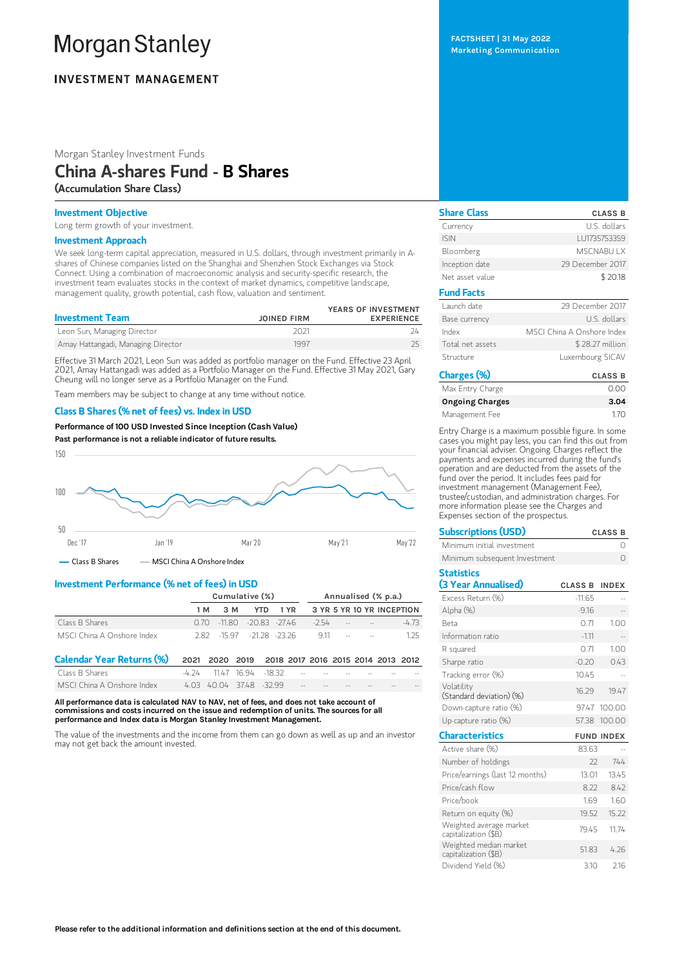# **Morgan Stanley**

# **INVESTMENT MANAGEMENT**

Morgan Stanley Investment Funds

# China A-shares Fund - B Shares (Accumulation Share Class)

## Investment Objective

Long term growth of your investment.

#### Investment Approach

We seek long-term capital appreciation, measured in U.S. dollars, through investment primarily in Ashares of Chinese companies listed on the Shanghai and Shenzhen Stock Exchanges via Stock Connect. Using a combination of macroeconomic analysis and security-specific research, the investment team evaluates stocks in the context of market dynamics, competitive landscape, management quality, growth potential, cash flow, valuation and sentiment.

| <b>Investment Team</b>             | <b>JOINED FIRM</b> | YEARS OF INVESTMENT<br><b>EXPERIENCE</b> |
|------------------------------------|--------------------|------------------------------------------|
| Leon Sun, Managing Director        | 2021               |                                          |
| Amay Hattangadi, Managing Director | 1997               |                                          |

Effective 31 March 2021, Leon Sun was added as portfolio manager on the Fund. Effective 23 April 2021, Amay Hattangadi was added as a Portfolio Manager on the Fund. Effective 31 May 2021, Gary Cheung will no longer serve as a Portfolio Manager on the Fund.

Team members may be subject to change at any time without notice.

### Class B Shares (% net of fees) vs. Index in USD

Performance of 100 USD Invested Since Inception (Cash Value) Past performance is not a reliable indicator of future results.



 $-$  Class B Shares  $-$  MSCI China A Onshore Index

## Investment Performance (% net of fees) in USD

|                                  | Cumulative (%) |            |           |                                    | Annualised (% p.a.) |        |        |  |                           |         |
|----------------------------------|----------------|------------|-----------|------------------------------------|---------------------|--------|--------|--|---------------------------|---------|
|                                  |                | 1 M<br>3 M |           | <b>YTD</b>                         | 1 YR                |        |        |  | 3 YR 5 YR 10 YR INCEPTION |         |
| Class B Shares                   | 0.70           | $-11.80$   |           | $-20.83 - 2746$                    |                     | $-254$ |        |  |                           | $-4.73$ |
| MSCL China A Onshore Index       | 282            | -15.97     |           | $-2128 - 2326$                     |                     | 911    | $\sim$ |  |                           | 125     |
| <b>Calendar Year Returns (%)</b> | 2021           |            | 2020 2019 | 2018 2017 2016 2015 2014 2013 2012 |                     |        |        |  |                           |         |
| Class B Shares                   | -4 74          | 11 4 7     | 16 94     | -18.32                             |                     |        |        |  |                           |         |
| MSCI China A Onshore Index       | 4.03           |            |           | 40.04 3748 -32.99                  |                     |        |        |  |                           |         |

All performance data is calculated NAV to NAV, net of fees, and does not take account of commissions and costs incurred on the issue and redemption of units. The sources for all performance and Index data is Morgan Stanley Investment Management.

The value of the investments and the income from them can go down as well as up and an investor may not get back the amount invested.

FACTSHEET | 31 May 2022 Marketing Communication

Share Class CLASS B Currency U.S. dollars ISIN LU1735753359 Bloomberg MSCNABU LX Inception date 29 December 2017 Net asset value \$ 20.18 Fund Facts Launch date 29 December 2017 Base currency and the U.S. dollars Index MSCI China A Onshore Index Total net assets \$28.27 million Structure Luxembourg SICAV Charges (%) CLASS B

| -narges (70)           | <b>CLASS B</b> |
|------------------------|----------------|
| Max Entry Charge       | 0.00           |
| <b>Ongoing Charges</b> | 3.04           |
| Management Fee         | 170            |

Entry Charge is a maximum possible figure. In some cases you might pay less, you can find this out from your financial adviser. Ongoing Charges reflect the payments and expenses incurred during the fund's operation and are deducted from the assets of the fund over the period. It includes fees paid for investment management (Management Fee), trustee/custodian, and administration charges. For more information please see the Charges and Expenses section of the prospectus.

| <b>Subscriptions (USD)</b>                      |                | <b>CLASS B</b>    |
|-------------------------------------------------|----------------|-------------------|
| Minimum initial investment                      |                | Ω                 |
| Minimum subsequent Investment                   |                | $\Omega$          |
| <b>Statistics</b>                               |                |                   |
| (3 Year Annualised)                             | <b>CLASS B</b> | <b>INDEX</b>      |
| Excess Return (%)                               | $-11.65$       |                   |
| Alpha (%)                                       | $-9.16$        |                   |
| <b>Beta</b>                                     | 0.71           | 1.00              |
| Information ratio                               | $-1.11$        | ă.                |
| R squared                                       | 0.71           | 1.00              |
| Sharpe ratio                                    | $-0.20$        | 0.43              |
| Tracking error (%)                              | 10.45          |                   |
| Volatility<br>(Standard deviation) (%)          | 16.29          | 19.47             |
| Down-capture ratio (%)                          |                | 9747 100.00       |
| Up-capture ratio (%)                            | 57.38          | 100.00            |
| <b>Characteristics</b>                          |                | <b>FUND INDEX</b> |
| Active share (%)                                | 83.63          |                   |
| Number of holdings                              | 22             | 744               |
| Price/earnings (last 12 months)                 | 13.01          | 13.45             |
| Price/cash flow                                 | 8.22           | 8.42              |
| Price/hook                                      | 1.69           | 1.60              |
| Return on equity (%)                            | 19.52          | 15.22             |
| Weighted average market<br>capitalization (\$B) | 79.45          | 11.74             |
| Weighted median market<br>capitalization (\$B)  | 51.83          | 4.26              |
| Dividend Yield (%)                              | 3.10           | 2.16              |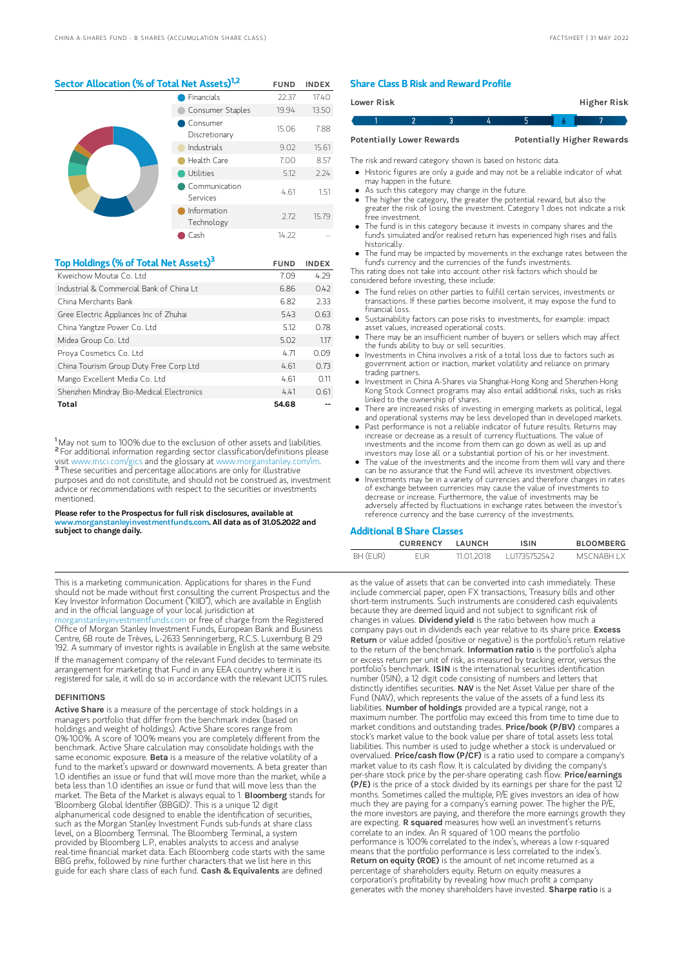# Sector Allocation (% of Total Net Assets)<sup>1,2</sup> FUND INDEX

|  | Financials                | 22.37 | 17.40 |
|--|---------------------------|-------|-------|
|  | Consumer Staples          | 19.94 | 13.50 |
|  | Consumer<br>Discretionary | 15.06 | 7.88  |
|  | Industrials               | 9.02  | 15.61 |
|  | Health Care               | 7.00  | 8.57  |
|  | Utilities                 | 5.12  | 2.24  |
|  | Communication<br>Services | 4.61  | 1.51  |
|  | Information<br>Technology | 2.72  | 15.79 |
|  | Cash                      | 14.22 |       |

| Top Holdings (% of Total Net Assets) <sup>3</sup> | <b>FUND</b> | <b>INDEX</b> |
|---------------------------------------------------|-------------|--------------|
| Kweichow Moutai Co. I td                          | 7.09        | 4.29         |
| Industrial & Commercial Bank of China I t         | 6.86        | 0.42         |
| China Merchants Bank                              | 6.82        | 2.33         |
| Gree Electric Appliances Inc of Zhuhai            | 543         | 0.63         |
| China Yangtze Power Co. Ltd                       | 5.12        | 0.78         |
| Midea Group Co. Ltd                               | 5.02        | 1.17         |
| Proya Cosmetics Co. Ltd                           | 4.71        | 0.09         |
| China Tourism Group Duty Free Corp Ltd            | 4.61        | 0.73         |
| Mango Excellent Media Co. Ltd                     | 4.61        | 0.11         |
| Shenzhen Mindray Bio-Medical Electronics          | 4.41        | 0.61         |
| Total                                             | 54.68       |              |

<sup>1</sup>May not sum to 100% due to the exclusion of other assets and liabilities. <sup>2</sup> For additional information regarding sector classification/definitions please visit www.msci.com/gics and the glossary at www.morganstanley.com/im. <sup>3</sup> These securities and percentage allocations are only for illustrative purposes and do not constitute, and should not be construed as, investment advice or recommendations with respect to the securities or investments mentioned.

#### Please refer to the Prospectus for full risk disclosures, available at www.morganstanleyinvestmentfunds.com. All data as of 31.05.2022 and subject to change daily.

This is a marketing communication. Applications for shares in the Fund should not be made without first consulting the current Prospectus and the Key Investor Information Document ("KIID"), which are available in English and in the official language of your local jurisdiction at

[morganstanleyinvestmentfunds.com](https://www.morganstanley.com/im/msinvf/index.html) or free of charge from the Registered Office of Morgan Stanley Investment Funds, European Bank and Business Centre, 6B route de Trèves, L-2633 Senningerberg, R.C.S. Luxemburg B 29 192. A summary of investor rights is available in English at the same website. If the management company of the relevant Fund decides to terminate its arrangement for marketing that Fund in any EEA country where it is registered for sale, it will do so in accordance with the relevant UCITS rules.

#### **DEFINITIONS**

Active Share is a measure of the percentage of stock holdings in a managers portfolio that differ from the benchmark index (based on holdings and weight of holdings). Active Share scores range from 0%-100%. A score of 100% means you are completely different from the benchmark. Active Share calculation may consolidate holdings with the same economic exposure. Beta is a measure of the relative volatility of a fund to the market's upward or downward movements. A beta greater than 1.0 identifies an issue or fund that will move more than the market, while a beta less than 1.0 identifies an issue or fund that will move less than the market. The Beta of the Market is always equal to 1. Bloomberg stands for 'Bloomberg Global Identifier (BBGID)'. This is a unique 12 digit alphanumerical code designed to enable the identification of securities, such as the Morgan Stanley Investment Funds sub-funds at share class level, on a Bloomberg Terminal. The Bloomberg Terminal, a system provided by Bloomberg L.P., enables analysts to access and analyse real-time financial market data. Each Bloomberg code starts with the same BBG prefix, followed by nine further characters that we list here in this guide for each share class of each fund. Cash & Equivalents are defined

#### Share Class B Risk and Reward Profile

|                                  | Lower Risk |  |  |  | Higher Risk                       |  |
|----------------------------------|------------|--|--|--|-----------------------------------|--|
|                                  |            |  |  |  |                                   |  |
| <b>Potentially Lower Rewards</b> |            |  |  |  | <b>Potentially Higher Rewards</b> |  |

The risk and reward category shown is based on historic data.

Historic figures are only a guide and may not be a reliable indicator of what

- may happen in the future. As such this category may change in the future.
- The higher the category, the greater the potential reward, but also the
- greater the risk of losing the investment. Category 1 does not indicate a risk free investment.
- The fund is in this category because it invests in company shares and the fund's simulated and/or realised return has experienced high rises and falls historically.
- The fund may be impacted by movements in the exchange rates between the fund's currency and the currencies of the fund's investments.

This rating does not take into account other risk factors which should be considered before investing, these include:

- The fund relies on other parties to fulfill certain services, investments or transactions. If these parties become insolvent, it may expose the fund to financial loss.
- Sustainability factors can pose risks to investments, for example: impact asset values, increased operational costs.
- There may be an insufficient number of buyers or sellers which may affect the funds ability to buy or sell securities.
- Investments in China involves a risk of a total loss due to factors such as government action or inaction, market volatility and reliance on primary trading partners.
- Investment in China A-Shares via Shanghai-Hong Kong and Shenzhen-Hong Kong Stock Connect programs may also entail additional risks, such as risks linked to the ownership of shares.
- There are increased risks of investing in emerging markets as political, legal and operational systems may be less developed than in developed markets.
- Past performance is not a reliable indicator of future results. Returns may increase or decrease as a result of currency fluctuations. The value of investments and the income from them can go down as well as up and
- investors may lose all or a substantial portion of his or her investment. The value of the investments and the income from them will vary and there can be no assurance that the Fund will achieve its investment objectives.
- Investments may be in a variety of currencies and therefore changes in rates of exchange between currencies may cause the value of investments to decrease or increase. Furthermore, the value of investments may be adversely affected by fluctuations in exchange rates between the investor's reference currency and the base currency of the investments.

#### Additional B Share Classes

|          | <b>CURRENCY</b> | LAUNCH     | <b>ISIN</b>  | <b>BLOOMBERG</b> |
|----------|-----------------|------------|--------------|------------------|
| BH (EUR) | FUR             | 11 01 2018 | 111735752542 | MSCNARH I X      |

as the value of assets that can be converted into cash immediately. These include commercial paper, open FX transactions, Treasury bills and other short-term instruments. Such instruments are considered cash equivalents because they are deemed liquid and not subject to significant risk of changes in values. Dividend yield is the ratio between how much a company pays out in dividends each year relative to its share price. Excess Return or value added (positive or negative) is the portfolio's return relative to the return of the benchmark. Information ratio is the portfolio's alpha or excess return per unit of risk, as measured by tracking error, versus the portfolio's benchmark. ISIN is the international securities identification number (ISIN), a 12 digit code consisting of numbers and letters that distinctly identifies securities. NAV is the Net Asset Value per share of the Fund (NAV), which represents the value of the assets of a fund less its liabilities. Number of holdings provided are a typical range, not a maximum number. The portfolio may exceed this from time to time due to market conditions and outstanding trades. Price/book (P/BV) compares a stock's market value to the book value per share of total assets less total liabilities. This number is used to judge whether a stock is undervalued or overvalued. Price/cash flow (P/CF) is a ratio used to compare a company's market value to its cash flow. It is calculated by dividing the company's per-share stock price by the per-share operating cash flow. Price/earnings (P/E) is the price of a stock divided by its earnings per share for the past 12 months. Sometimes called the multiple, P/E gives investors an idea of how much they are paying for a company's earning power. The higher the P/E, the more investors are paying, and therefore the more earnings growth they are expecting. R squared measures how well an investment's returns correlate to an index. An R squared of 1.00 means the portfolio performance is 100% correlated to the index's, whereas a low r-squared means that the portfolio performance is less correlated to the index's. Return on equity (ROE) is the amount of net income returned as a percentage of shareholders equity. Return on equity measures a corporation's profitability by revealing how much profit a company generates with the money shareholders have invested. Sharpe ratio is a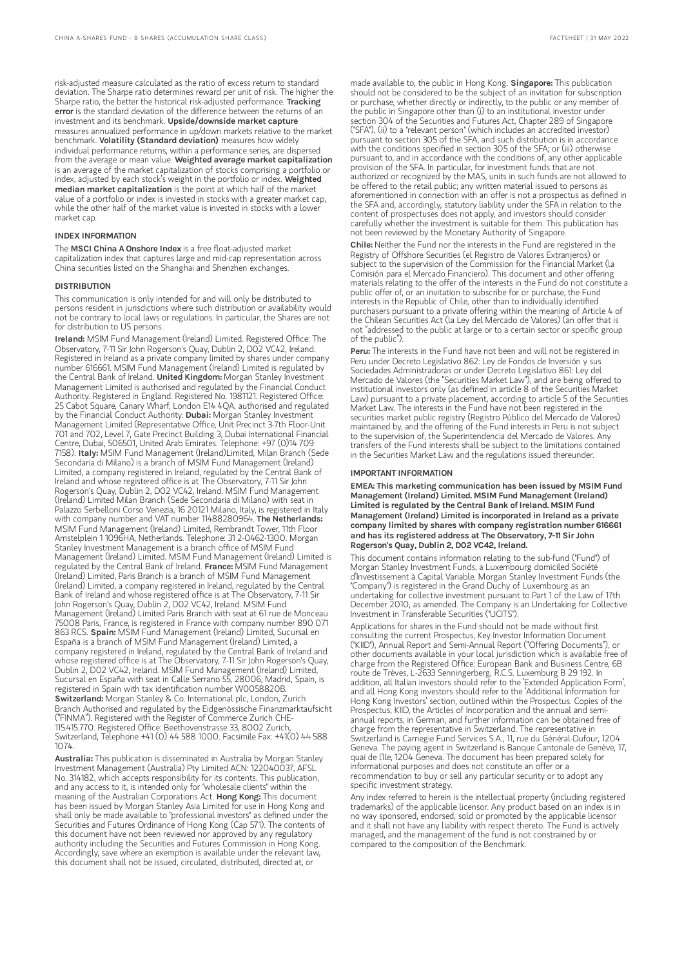risk-adjusted measure calculated as the ratio of excess return to standard deviation. The Sharpe ratio determines reward per unit of risk. The higher the Sharpe ratio, the better the historical risk-adjusted performance. Tracking error is the standard deviation of the difference between the returns of an investment and its benchmark. Upside/downside market capture measures annualized performance in up/down markets relative to the market benchmark. Volatility (Standard deviation) measures how widely individual performance returns, within a performance series, are dispersed from the average or mean value. Weighted average market capitalization is an average of the market capitalization of stocks comprising a portfolio or index, adjusted by each stock's weight in the portfolio or index. Weighted median market capitalization is the point at which half of the market value of a portfolio or index is invested in stocks with a greater market cap, while the other half of the market value is invested in stocks with a lower market cap.

#### INDEX INFORMATION

The MSCI China A Onshore Index is a free float-adjusted market capitalization index that captures large and mid-cap representation across China securities listed on the Shanghai and Shenzhen exchanges.

#### **DISTRIBUTION**

This communication is only intended for and will only be distributed to persons resident in jurisdictions where such distribution or availability would not be contrary to local laws or regulations. In particular, the Shares are not for distribution to US persons.

Ireland: MSIM Fund Management (Ireland) Limited. Registered Office: The Observatory, 7-11 Sir John Rogerson's Quay, Dublin 2, D02 VC42, Ireland. Registered in Ireland as a private company limited by shares under company number 616661. MSIM Fund Management (Ireland) Limited is regulated by the Central Bank of Ireland. United Kingdom: Morgan Stanley Investment Management Limited is authorised and regulated by the Financial Conduct Authority. Registered in England. Registered No. 1981121. Registered Office: 25 Cabot Square, Canary Wharf, London E14 4QA, authorised and regulated by the Financial Conduct Authority. Dubai: Morgan Stanley Investment Management Limited (Representative Office, Unit Precinct 3-7th Floor-Unit 701 and 702, Level 7, Gate Precinct Building 3, Dubai International Financial Centre, Dubai, 506501, United Arab Emirates. Telephone: +97 (0)14 709 7158). Italy: MSIM Fund Management (Ireland)Limited, Milan Branch (Sede Secondaria di Milano) is a branch of MSIM Fund Management (Ireland) Limited, a company registered in Ireland, regulated by the Central Bank of Ireland and whose registered office is at The Observatory, 7-11 Sir John Rogerson's Quay, Dublin 2, D02 VC42, Ireland. MSIM Fund Management (Ireland) Limited Milan Branch (Sede Secondaria di Milano) with seat in Palazzo Serbelloni Corso Venezia, 16 20121 Milano, Italy, is registered in Italy with company number and VAT number 11488280964. The Netherlands: MSIM Fund Management (Ireland) Limited, Rembrandt Tower, 11th Floor Amstelplein 1 1096HA, Netherlands. Telephone: 31 2-0462-1300. Morgan Stanley Investment Management is a branch office of MSIM Fund Management (Ireland) Limited. MSIM Fund Management (Ireland) Limited is regulated by the Central Bank of Ireland. France: MSIM Fund Management (Ireland) Limited, Paris Branch is a branch of MSIM Fund Management (Ireland) Limited, a company registered in Ireland, regulated by the Central Bank of Ireland and whose registered office is at The Observatory, 7-11 Sir John Rogerson's Quay, Dublin 2, D02 VC42, Ireland. MSIM Fund Management (Ireland) Limited Paris Branch with seat at 61 rue de Monceau 75008 Paris, France, is registered in France with company number 890 071 863 RCS. Spain: MSIM Fund Management (Ireland) Limited, Sucursal en España is a branch of MSIM Fund Management (Ireland) Limited, a company registered in Ireland, regulated by the Central Bank of Ireland and whose registered office is at The Observatory, 7-11 Sir John Rogerson's Quay, Dublin 2, D02 VC42, Ireland. MSIM Fund Management (Ireland) Limited, Sucursal en España with seat in Calle Serrano 55, 28006, Madrid, Spain, is registered in Spain with tax identification number W0058820B. Switzerland: Morgan Stanley & Co. International plc, London, Zurich Branch Authorised and regulated by the Eidgenössische Finanzmarktaufsicht ("FINMA"). Registered with the Register of Commerce Zurich CHE-115.415.770. Registered Office: Beethovenstrasse 33, 8002 Zurich, Switzerland, Telephone +41 (0) 44 588 1000. Facsimile Fax: +41(0) 44 588 1074.

Australia: This publication is disseminated in Australia by Morgan Stanley Investment Management (Australia) Pty Limited ACN: 122040037, AFSL No. 314182, which accepts responsibility for its contents. This publication, and any access to it, is intended only for "wholesale clients" within the<br>meaning of the Australian Corporations Act. **Hong Kong:** This document has been issued by Morgan Stanley Asia Limited for use in Hong Kong and shall only be made available to "professional investors" as defined under the Securities and Futures Ordinance of Hong Kong (Cap 571). The contents of this document have not been reviewed nor approved by any regulatory authority including the Securities and Futures Commission in Hong Kong. Accordingly, save where an exemption is available under the relevant law, this document shall not be issued, circulated, distributed, directed at, or

made available to, the public in Hong Kong. Singapore: This publication should not be considered to be the subject of an invitation for subscription or purchase, whether directly or indirectly, to the public or any member of the public in Singapore other than (i) to an institutional investor under section 304 of the Securities and Futures Act, Chapter 289 of Singapore ("SFA"), (ii) to a "relevant person" (which includes an accredited investor) pursuant to section 305 of the SFA, and such distribution is in accordance with the conditions specified in section 305 of the SFA; or (iii) otherwise pursuant to, and in accordance with the conditions of, any other applicable provision of the SFA. In particular, for investment funds that are not authorized or recognized by the MAS, units in such funds are not allowed to be offered to the retail public; any written material issued to persons as aforementioned in connection with an offer is not a prospectus as defined in the SFA and, accordingly, statutory liability under the SFA in relation to the content of prospectuses does not apply, and investors should consider carefully whether the investment is suitable for them. This publication has not been reviewed by the Monetary Authority of Singapore.

Chile: Neither the Fund nor the interests in the Fund are registered in the Registry of Offshore Securities (el Registro de Valores Extranjeros) or subject to the supervision of the Commission for the Financial Market (la Comisión para el Mercado Financiero). This document and other offering materials relating to the offer of the interests in the Fund do not constitute a public offer of, or an invitation to subscribe for or purchase, the Fund interests in the Republic of Chile, other than to individually identified purchasers pursuant to a private offering within the meaning of Article 4 of the Chilean Securities Act (la Ley del Mercado de Valores) (an offer that is not "addressed to the public at large or to a certain sector or specific group of the public").

Peru: The interests in the Fund have not been and will not be registered in Peru under Decreto Legislativo 862: Ley de Fondos de Inversión y sus Sociedades Administradoras or under Decreto Legislativo 861: Ley del Mercado de Valores (the "Securities Market Law"), and are being offered to institutional investors only (as defined in article 8 of the Securities Market Law) pursuant to a private placement, according to article 5 of the Securities Market Law. The interests in the Fund have not been registered in the securities market public registry (Registro Público del Mercado de Valores) maintained by, and the offering of the Fund interests in Peru is not subject to the supervision of, the Superintendencia del Mercado de Valores. Any transfers of the Fund interests shall be subject to the limitations contained in the Securities Market Law and the regulations issued thereunder.

#### IMPORTANT INFORMATION

EMEA: This marketing communication has been issued by MSIM Fund Management (Ireland) Limited. MSIM Fund Management (Ireland) Limited is regulated by the Central Bank of Ireland. MSIM Fund Management (Ireland) Limited is incorporated in Ireland as a private company limited by shares with company registration number 616661 and has its registered address at The Observatory, 7-11 Sir John Rogerson's Quay, Dublin 2, D02 VC42, Ireland.

This document contains information relating to the sub-fund ("Fund") of Morgan Stanley Investment Funds, a Luxembourg domiciled Société d'Investissement à Capital Variable. Morgan Stanley Investment Funds (the "Company") is registered in the Grand Duchy of Luxembourg as an undertaking for collective investment pursuant to Part 1 of the Law of 17th December 2010, as amended. The Company is an Undertaking for Collective Investment in Transferable Securities ("UCITS").

Applications for shares in the Fund should not be made without first consulting the current Prospectus, Key Investor Information Document ("KIID"), Annual Report and Semi-Annual Report ("Offering Documents"), or other documents available in your local jurisdiction which is available free of charge from the Registered Office: European Bank and Business Centre, 6B route de Trèves, L-2633 Senningerberg, R.C.S. Luxemburg B 29 192. In addition, all Italian investors should refer to the 'Extended Application Form', and all Hong Kong investors should refer to the 'Additional Information for Hong Kong Investors' section, outlined within the Prospectus. Copies of the Prospectus, KIID, the Articles of Incorporation and the annual and semiannual reports, in German, and further information can be obtained free of charge from the representative in Switzerland. The representative in Switzerland is Carnegie Fund Services S.A., 11, rue du Général-Dufour, 1204 Geneva. The paying agent in Switzerland is Banque Cantonale de Genève, 17, quai de l'Ile, 1204 Geneva. The document has been prepared solely for informational purposes and does not constitute an offer or a recommendation to buy or sell any particular security or to adopt any specific investment strategy.

Any index referred to herein is the intellectual property (including registered trademarks) of the applicable licensor. Any product based on an index is in no way sponsored, endorsed, sold or promoted by the applicable licensor and it shall not have any liability with respect thereto. The Fund is actively managed, and the management of the fund is not constrained by or compared to the composition of the Benchmark.